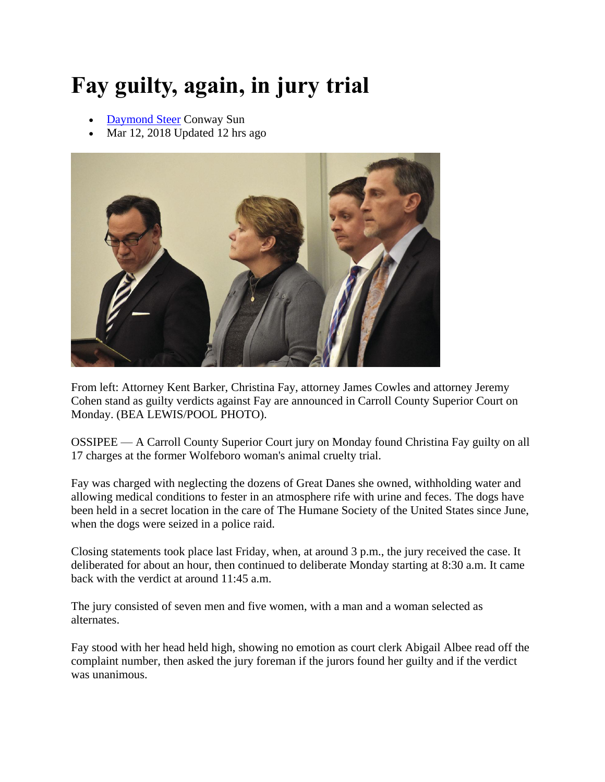## **Fay guilty, again, in jury trial**

- [Daymond Steer](https://www.conwaydailysun.com/users/profile/dsteer) Conway Sun
- Mar 12, 2018 Updated 12 hrs ago



From left: Attorney Kent Barker, Christina Fay, attorney James Cowles and attorney Jeremy Cohen stand as guilty verdicts against Fay are announced in Carroll County Superior Court on Monday. (BEA LEWIS/POOL PHOTO).

OSSIPEE — A Carroll County Superior Court jury on Monday found Christina Fay guilty on all 17 charges at the former Wolfeboro woman's animal cruelty trial.

Fay was charged with neglecting the dozens of Great Danes she owned, withholding water and allowing medical conditions to fester in an atmosphere rife with urine and feces. The dogs have been held in a secret location in the care of The Humane Society of the United States since June, when the dogs were seized in a police raid.

Closing statements took place last Friday, when, at around 3 p.m., the jury received the case. It deliberated for about an hour, then continued to deliberate Monday starting at 8:30 a.m. It came back with the verdict at around 11:45 a.m.

The jury consisted of seven men and five women, with a man and a woman selected as alternates.

Fay stood with her head held high, showing no emotion as court clerk Abigail Albee read off the complaint number, then asked the jury foreman if the jurors found her guilty and if the verdict was unanimous.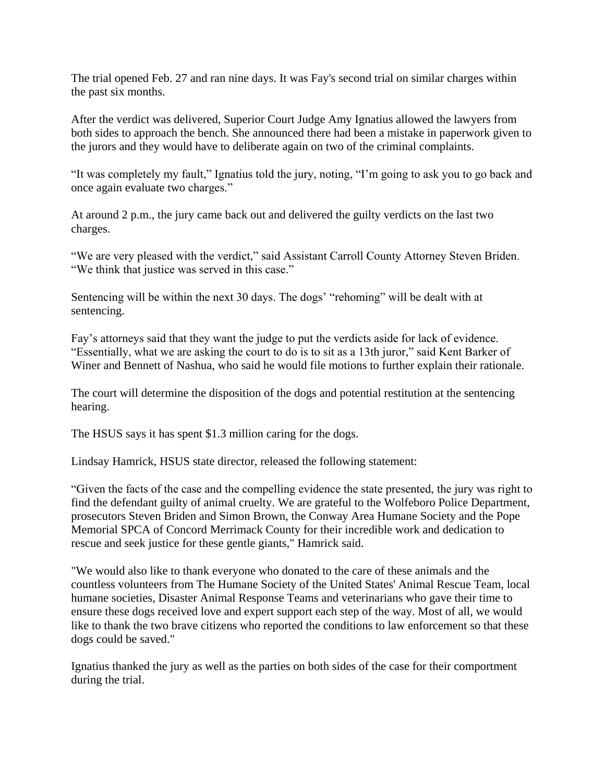The trial opened Feb. 27 and ran nine days. It was Fay's second trial on similar charges within the past six months.

After the verdict was delivered, Superior Court Judge Amy Ignatius allowed the lawyers from both sides to approach the bench. She announced there had been a mistake in paperwork given to the jurors and they would have to deliberate again on two of the criminal complaints.

"It was completely my fault," Ignatius told the jury, noting, "I'm going to ask you to go back and once again evaluate two charges."

At around 2 p.m., the jury came back out and delivered the guilty verdicts on the last two charges.

"We are very pleased with the verdict," said Assistant Carroll County Attorney Steven Briden. "We think that justice was served in this case."

Sentencing will be within the next 30 days. The dogs' "rehoming" will be dealt with at sentencing.

Fay's attorneys said that they want the judge to put the verdicts aside for lack of evidence. "Essentially, what we are asking the court to do is to sit as a 13th juror," said Kent Barker of Winer and Bennett of Nashua, who said he would file motions to further explain their rationale.

The court will determine the disposition of the dogs and potential restitution at the sentencing hearing.

The HSUS says it has spent \$1.3 million caring for the dogs.

Lindsay Hamrick, HSUS state director, released the following statement:

"Given the facts of the case and the compelling evidence the state presented, the jury was right to find the defendant guilty of animal cruelty. We are grateful to the Wolfeboro Police Department, prosecutors Steven Briden and Simon Brown, the Conway Area Humane Society and the Pope Memorial SPCA of Concord Merrimack County for their incredible work and dedication to rescue and seek justice for these gentle giants," Hamrick said.

"We would also like to thank everyone who donated to the care of these animals and the countless volunteers from The Humane Society of the United States' Animal Rescue Team, local humane societies, Disaster Animal Response Teams and veterinarians who gave their time to ensure these dogs received love and expert support each step of the way. Most of all, we would like to thank the two brave citizens who reported the conditions to law enforcement so that these dogs could be saved."

Ignatius thanked the jury as well as the parties on both sides of the case for their comportment during the trial.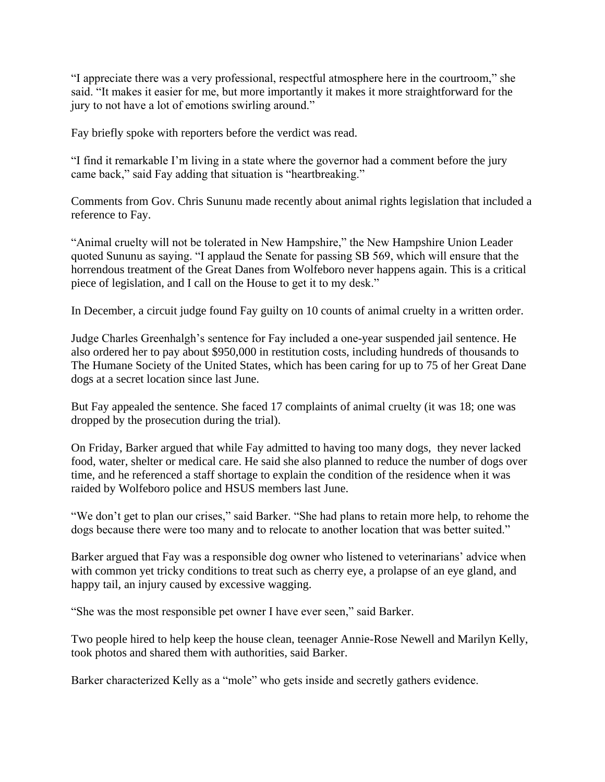"I appreciate there was a very professional, respectful atmosphere here in the courtroom," she said. "It makes it easier for me, but more importantly it makes it more straightforward for the jury to not have a lot of emotions swirling around."

Fay briefly spoke with reporters before the verdict was read.

"I find it remarkable I'm living in a state where the governor had a comment before the jury came back," said Fay adding that situation is "heartbreaking."

Comments from Gov. Chris Sununu made recently about animal rights legislation that included a reference to Fay.

"Animal cruelty will not be tolerated in New Hampshire," the New Hampshire Union Leader quoted Sununu as saying. "I applaud the Senate for passing SB 569, which will ensure that the horrendous treatment of the Great Danes from Wolfeboro never happens again. This is a critical piece of legislation, and I call on the House to get it to my desk."

In December, a circuit judge found Fay guilty on 10 counts of animal cruelty in a written order.

Judge Charles Greenhalgh's sentence for Fay included a one-year suspended jail sentence. He also ordered her to pay about \$950,000 in restitution costs, including hundreds of thousands to The Humane Society of the United States, which has been caring for up to 75 of her Great Dane dogs at a secret location since last June.

But Fay appealed the sentence. She faced 17 complaints of animal cruelty (it was 18; one was dropped by the prosecution during the trial).

On Friday, Barker argued that while Fay admitted to having too many dogs, they never lacked food, water, shelter or medical care. He said she also planned to reduce the number of dogs over time, and he referenced a staff shortage to explain the condition of the residence when it was raided by Wolfeboro police and HSUS members last June.

"We don't get to plan our crises," said Barker. "She had plans to retain more help, to rehome the dogs because there were too many and to relocate to another location that was better suited."

Barker argued that Fay was a responsible dog owner who listened to veterinarians' advice when with common yet tricky conditions to treat such as cherry eye, a prolapse of an eye gland, and happy tail, an injury caused by excessive wagging.

"She was the most responsible pet owner I have ever seen," said Barker.

Two people hired to help keep the house clean, teenager Annie-Rose Newell and Marilyn Kelly, took photos and shared them with authorities, said Barker.

Barker characterized Kelly as a "mole" who gets inside and secretly gathers evidence.